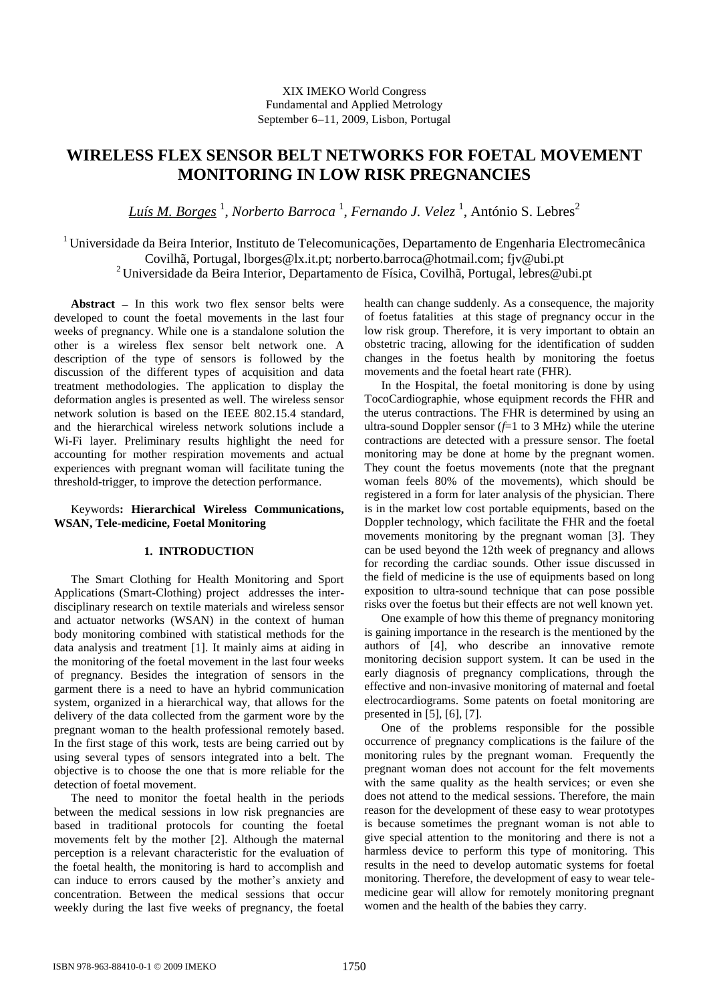## XIX IMEKO World Congress Fundamental and Applied Metrology September 6-11, 2009, Lisbon, Portugal

# **WIRELESS FLEX SENSOR BELT NETWORKS FOR FOETAL MOVEMENT MONITORING IN LOW RISK PREGNANCIES**

*Luís M. Borges* <sup>1</sup> , *Norberto Barroca* <sup>1</sup> , *Fernando J. Velez* <sup>1</sup> , António S. Lebres<sup>2</sup>

<sup>1</sup> Universidade da Beira Interior, Instituto de Telecomunicações, Departamento de Engenharia Electromecânica Covilhã, Portugal, lborges@lx.it.pt; norberto.barroca@hotmail.com; fjv@ubi.pt <sup>2</sup> Universidade da Beira Interior, Departamento de Física, Covilhã, Portugal, lebres@ubi.pt

Abstract  $-$  In this work two flex sensor belts were developed to count the foetal movements in the last four weeks of pregnancy. While one is a standalone solution the other is a wireless flex sensor belt network one. A description of the type of sensors is followed by the discussion of the different types of acquisition and data treatment methodologies. The application to display the deformation angles is presented as well. The wireless sensor network solution is based on the IEEE 802.15.4 standard, and the hierarchical wireless network solutions include a Wi-Fi layer. Preliminary results highlight the need for accounting for mother respiration movements and actual experiences with pregnant woman will facilitate tuning the threshold-trigger, to improve the detection performance.

## Keywords**: Hierarchical Wireless Communications, WSAN, Tele-medicine, Foetal Monitoring**

## **1. INTRODUCTION**

The Smart Clothing for Health Monitoring and Sport Applications (Smart-Clothing) project addresses the interdisciplinary research on textile materials and wireless sensor and actuator networks (WSAN) in the context of human body monitoring combined with statistical methods for the data analysis and treatment [\[1\].](#page-4-0) It mainly aims at aiding in the monitoring of the foetal movement in the last four weeks of pregnancy. Besides the integration of sensors in the garment there is a need to have an hybrid communication system, organized in a hierarchical way, that allows for the delivery of the data collected from the garment wore by the pregnant woman to the health professional remotely based. In the first stage of this work, tests are being carried out by using several types of sensors integrated into a belt. The objective is to choose the one that is more reliable for the detection of foetal movement.

The need to monitor the foetal health in the periods between the medical sessions in low risk pregnancies are based in traditional protocols for counting the foetal movements felt by the mother [\[2\].](#page-4-1) Although the maternal perception is a relevant characteristic for the evaluation of the foetal health, the monitoring is hard to accomplish and can induce to errors caused by the mother's anxiety and concentration. Between the medical sessions that occur weekly during the last five weeks of pregnancy, the foetal

health can change suddenly. As a consequence, the majority of foetus fatalities at this stage of pregnancy occur in the low risk group. Therefore, it is very important to obtain an obstetric tracing, allowing for the identification of sudden changes in the foetus health by monitoring the foetus movements and the foetal heart rate (FHR).

In the Hospital, the foetal monitoring is done by using TocoCardiographie, whose equipment records the FHR and the uterus contractions. The FHR is determined by using an ultra-sound Doppler sensor (*f*=1 to 3 MHz) while the uterine contractions are detected with a pressure sensor. The foetal monitoring may be done at home by the pregnant women. They count the foetus movements (note that the pregnant woman feels 80% of the movements), which should be registered in a form for later analysis of the physician. There is in the market low cost portable equipments, based on the Doppler technology, which facilitate the FHR and the foetal movements monitoring by the pregnant woman [\[3\].](#page-4-2) They can be used beyond the 12th week of pregnancy and allows for recording the cardiac sounds. Other issue discussed in the field of medicine is the use of equipments based on long exposition to ultra-sound technique that can pose possible risks over the foetus but their effects are not well known yet.

One example of how this theme of pregnancy monitoring is gaining importance in the research is the mentioned by the authors of [\[4\],](#page-4-3) who describe an innovative remote monitoring decision support system. It can be used in the early diagnosis of pregnancy complications, through the effective and non-invasive monitoring of maternal and foetal electrocardiograms. Some patents on foetal monitoring are presented in [\[5\],](#page-4-4) [\[6\],](#page-4-5) [\[7\].](#page-4-6)

One of the problems responsible for the possible occurrence of pregnancy complications is the failure of the monitoring rules by the pregnant woman. Frequently the pregnant woman does not account for the felt movements with the same quality as the health services; or even she does not attend to the medical sessions. Therefore, the main reason for the development of these easy to wear prototypes is because sometimes the pregnant woman is not able to give special attention to the monitoring and there is not a harmless device to perform this type of monitoring. This results in the need to develop automatic systems for foetal monitoring. Therefore, the development of easy to wear telemedicine gear will allow for remotely monitoring pregnant women and the health of the babies they carry.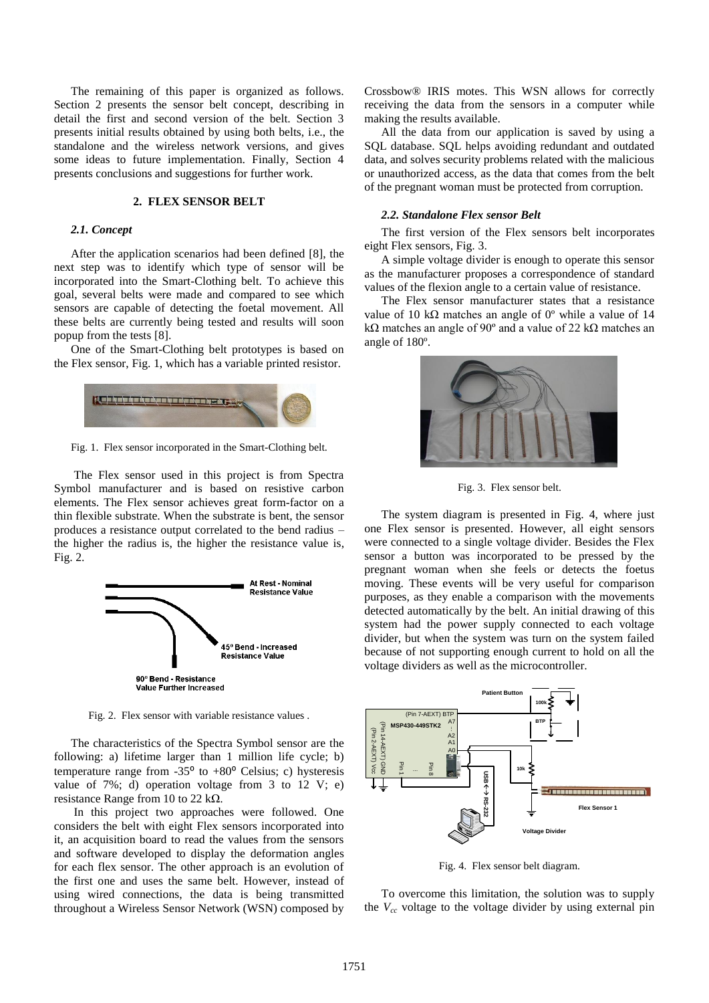The remaining of this paper is organized as follows. Section 2 presents the sensor belt concept, describing in detail the first and second version of the belt. Section 3 presents initial results obtained by using both belts, i.e., the standalone and the wireless network versions, and gives some ideas to future implementation. Finally, Section 4 presents conclusions and suggestions for further work.

## **2. FLEX SENSOR BELT**

### *2.1. Concept*

After the application scenarios had been defined [\[8\],](#page-4-7) the next step was to identify which type of sensor will be incorporated into the Smart-Clothing belt. To achieve this goal, several belts were made and compared to see which sensors are capable of detecting the foetal movement. All these belts are currently being tested and results will soon popup from the tests [8].

One of the Smart-Clothing belt prototypes is based on the Flex sensor, Fig. 1, which has a variable printed resistor.



Fig. 1. Flex sensor incorporated in the Smart-Clothing belt.

The Flex sensor used in this project is from Spectra Symbol manufacturer and is based on resistive carbon elements. The Flex sensor achieves great form-factor on a thin flexible substrate. When the substrate is bent, the sensor produces a resistance output correlated to the bend radius – the higher the radius is, the higher the resistance value is, Fig. 2.



Fig. 2. Flex sensor with variable resistance values .

The characteristics of the Spectra Symbol sensor are the following: a) lifetime larger than 1 million life cycle; b) temperature range from -35 $\degree$  to +80 $\degree$  Celsius; c) hysteresis value of 7%; d) operation voltage from 3 to 12 V; e) resistance Range from 10 to 22 kΩ.

In this project two approaches were followed. One considers the belt with eight Flex sensors incorporated into it, an acquisition board to read the values from the sensors and software developed to display the deformation angles for each flex sensor. The other approach is an evolution of the first one and uses the same belt. However, instead of using wired connections, the data is being transmitted throughout a Wireless Sensor Network (WSN) composed by Crossbow® IRIS motes. This WSN allows for correctly receiving the data from the sensors in a computer while making the results available.

All the data from our application is saved by using a SQL database. SQL helps avoiding redundant and outdated data, and solves security problems related with the malicious or unauthorized access, as the data that comes from the belt of the pregnant woman must be protected from corruption.

### *2.2. Standalone Flex sensor Belt*

The first version of the Flex sensors belt incorporates eight Flex sensors, Fig. 3.

A simple voltage divider is enough to operate this sensor as the manufacturer proposes a correspondence of standard values of the flexion angle to a certain value of resistance.

The Flex sensor manufacturer states that a resistance value of 10 kΩ matches an angle of  $0^\circ$  while a value of 14 kΩ matches an angle of 90º and a value of 22 kΩ matches an angle of 180º.



Fig. 3. Flex sensor belt.

The system diagram is presented in Fig. 4, where just one Flex sensor is presented. However, all eight sensors were connected to a single voltage divider. Besides the Flex sensor a button was incorporated to be pressed by the pregnant woman when she feels or detects the foetus moving. These events will be very useful for comparison purposes, as they enable a comparison with the movements detected automatically by the belt. An initial drawing of this system had the power supply connected to each voltage divider, but when the system was turn on the system failed because of not supporting enough current to hold on all the voltage dividers as well as the microcontroller.



Fig. 4. Flex sensor belt diagram.

To overcome this limitation, the solution was to supply the *Vcc* voltage to the voltage divider by using external pin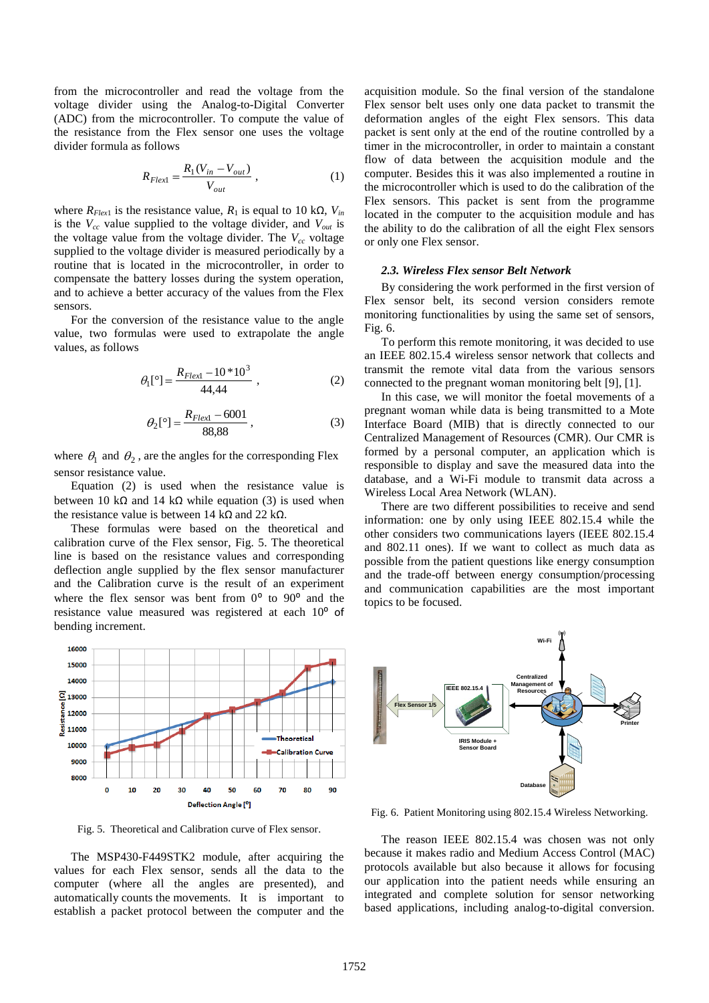from the microcontroller and read the voltage from the voltage divider using the Analog-to-Digital Converter (ADC) from the microcontroller. To compute the value of the resistance from the Flex sensor one uses the voltage divider formula as follows

$$
R_{Flexl} = \frac{R_1(V_{in} - V_{out})}{V_{out}},
$$
 (1)

where  $R_{Flex1}$  is the resistance value,  $R_1$  is equal to 10 kΩ,  $V_{in}$ is the *Vcc* value supplied to the voltage divider, and *Vout* is the voltage value from the voltage divider. The *Vcc* voltage supplied to the voltage divider is measured periodically by a routine that is located in the microcontroller, in order to compensate the battery losses during the system operation, and to achieve a better accuracy of the values from the Flex sensors.

For the conversion of the resistance value to the angle value, two formulas were used to extrapolate the angle values, as follows

$$
\theta_{\rm I}[^{\circ}] = \frac{R_{Flex\rm I} - 10*10^3}{44,44} \,, \tag{2}
$$

$$
\theta_2[°] = \frac{R_{Flex1} - 6001}{88,88},
$$
\n(3)

where  $\theta_1$  and  $\theta_2$ , are the angles for the corresponding Flex sensor resistance value.

Equation (2) is used when the resistance value is between 10 kΩ and 14 kΩ while equation (3) is used when the resistance value is between 14 kΩ and 22 kΩ.

These formulas were based on the theoretical and calibration curve of the Flex sensor, Fig. 5. The theoretical line is based on the resistance values and corresponding deflection angle supplied by the flex sensor manufacturer and the Calibration curve is the result of an experiment where the flex sensor was bent from  $0^{\circ}$  to  $90^{\circ}$  and the resistance value measured was registered at each 10<sup>°</sup> of bending increment.



Fig. 5. Theoretical and Calibration curve of Flex sensor.

The MSP430-F449STK2 module, after acquiring the values for each Flex sensor, sends all the data to the computer (where all the angles are presented), and automatically counts the movements. It is important to establish a packet protocol between the computer and the acquisition module. So the final version of the standalone Flex sensor belt uses only one data packet to transmit the deformation angles of the eight Flex sensors. This data packet is sent only at the end of the routine controlled by a timer in the microcontroller, in order to maintain a constant flow of data between the acquisition module and the computer. Besides this it was also implemented a routine in the microcontroller which is used to do the calibration of the Flex sensors. This packet is sent from the programme located in the computer to the acquisition module and has the ability to do the calibration of all the eight Flex sensors or only one Flex sensor.

#### *2.3. Wireless Flex sensor Belt Network*

By considering the work performed in the first version of Flex sensor belt, its second version considers remote monitoring functionalities by using the same set of sensors, Fig. 6.

To perform this remote monitoring, it was decided to use an IEEE 802.15.4 wireless sensor network that collects and transmit the remote vital data from the various sensors connected to the pregnant woman monitoring belt [\[9\],](#page-4-8) [\[1\].](#page-4-9)

In this case, we will monitor the foetal movements of a pregnant woman while data is being transmitted to a Mote Interface Board (MIB) that is directly connected to our Centralized Management of Resources (CMR). Our CMR is formed by a personal computer, an application which is responsible to display and save the measured data into the database, and a Wi-Fi module to transmit data across a Wireless Local Area Network (WLAN).

There are two different possibilities to receive and send information: one by only using IEEE 802.15.4 while the other considers two communications layers (IEEE 802.15.4 and 802.11 ones). If we want to collect as much data as possible from the patient questions like energy consumption and the trade-off between energy consumption/processing and communication capabilities are the most important topics to be focused.



Fig. 6. Patient Monitoring using 802.15.4 Wireless Networking.

The reason IEEE 802.15.4 was chosen was not only because it makes radio and Medium Access Control (MAC) protocols available but also because it allows for focusing our application into the patient needs while ensuring an integrated and complete solution for sensor networking based applications, including analog-to-digital conversion.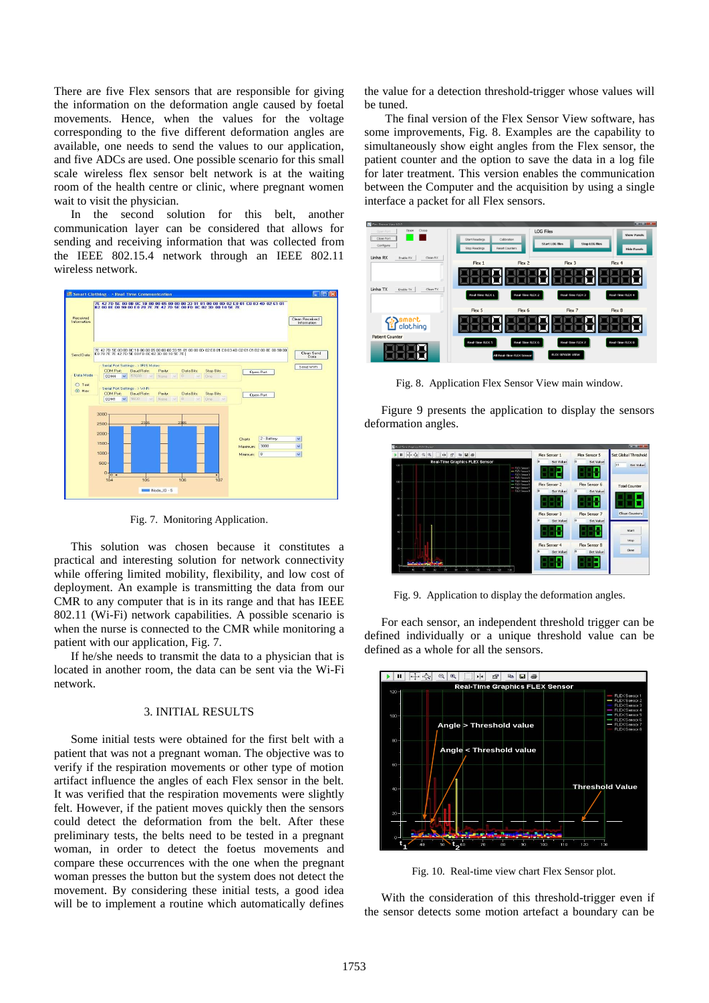There are five Flex sensors that are responsible for giving the information on the deformation angle caused by foetal movements. Hence, when the values for the voltage corresponding to the five different deformation angles are available, one needs to send the values to our application, and five ADCs are used. One possible scenario for this small scale wireless flex sensor belt network is at the waiting room of the health centre or clinic, where pregnant women wait to visit the physician.

In the second solution for this belt, another communication layer can be considered that allows for sending and receiving information that was collected from the IEEE 802.15.4 network through an IEEE 802.11 wireless network.



Fig. 7. Monitoring Application.

This solution was chosen because it constitutes a practical and interesting solution for network connectivity while offering limited mobility, flexibility, and low cost of deployment. An example is transmitting the data from our CMR to any computer that is in its range and that has IEEE 802.11 (Wi-Fi) network capabilities. A possible scenario is when the nurse is connected to the CMR while monitoring a patient with our application, Fig. 7.

If he/she needs to transmit the data to a physician that is located in another room, the data can be sent via the Wi-Fi network.

## 3. INITIAL RESULTS

Some initial tests were obtained for the first belt with a patient that was not a pregnant woman. The objective was to verify if the respiration movements or other type of motion artifact influence the angles of each Flex sensor in the belt. It was verified that the respiration movements were slightly felt. However, if the patient moves quickly then the sensors could detect the deformation from the belt. After these preliminary tests, the belts need to be tested in a pregnant woman, in order to detect the foetus movements and compare these occurrences with the one when the pregnant woman presses the button but the system does not detect the movement. By considering these initial tests, a good idea will be to implement a routine which automatically defines the value for a detection threshold-trigger whose values will be tuned.

The final version of the Flex Sensor View software, has some improvements, Fig. 8. Examples are the capability to simultaneously show eight angles from the Flex sensor, the patient counter and the option to save the data in a log file for later treatment. This version enables the communication between the Computer and the acquisition by using a single interface a packet for all Flex sensors.



Fig. 8. Application Flex Sensor View main window.

Figure 9 presents the application to display the sensors deformation angles.



Fig. 9. Application to display the deformation angles.

For each sensor, an independent threshold trigger can be defined individually or a unique threshold value can be defined as a whole for all the sensors.



Fig. 10. Real-time view chart Flex Sensor plot.

With the consideration of this threshold-trigger even if the sensor detects some motion artefact a boundary can be